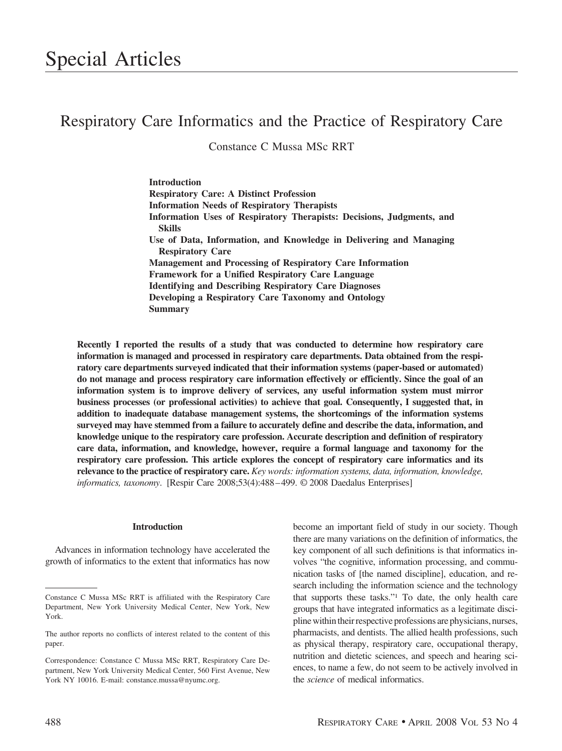# Respiratory Care Informatics and the Practice of Respiratory Care

Constance C Mussa MSc RRT

**Introduction Respiratory Care: A Distinct Profession Information Needs of Respiratory Therapists Information Uses of Respiratory Therapists: Decisions, Judgments, and Skills Use of Data, Information, and Knowledge in Delivering and Managing Respiratory Care Management and Processing of Respiratory Care Information Framework for a Unified Respiratory Care Language Identifying and Describing Respiratory Care Diagnoses Developing a Respiratory Care Taxonomy and Ontology Summary**

**Recently I reported the results of a study that was conducted to determine how respiratory care information is managed and processed in respiratory care departments. Data obtained from the respiratory care departments surveyed indicated that their information systems (paper-based or automated) do not manage and process respiratory care information effectively or efficiently. Since the goal of an information system is to improve delivery of services, any useful information system must mirror business processes (or professional activities) to achieve that goal. Consequently, I suggested that, in addition to inadequate database management systems, the shortcomings of the information systems surveyed may have stemmed from a failure to accurately define and describe the data, information, and knowledge unique to the respiratory care profession. Accurate description and definition of respiratory care data, information, and knowledge, however, require a formal language and taxonomy for the respiratory care profession. This article explores the concept of respiratory care informatics and its relevance to the practice of respiratory care.** *Key words: information systems, data, information, knowledge, informatics, taxonomy*. [Respir Care 2008;53(4):488 – 499. © 2008 Daedalus Enterprises]

#### **Introduction**

Advances in information technology have accelerated the growth of informatics to the extent that informatics has now become an important field of study in our society. Though there are many variations on the definition of informatics, the key component of all such definitions is that informatics involves "the cognitive, information processing, and communication tasks of [the named discipline], education, and research including the information science and the technology that supports these tasks."1 To date, the only health care groups that have integrated informatics as a legitimate discipline withintheir respective professions are physicians, nurses, pharmacists, and dentists. The allied health professions, such as physical therapy, respiratory care, occupational therapy, nutrition and dietetic sciences, and speech and hearing sciences, to name a few, do not seem to be actively involved in the *science* of medical informatics.

Constance C Mussa MSc RRT is affiliated with the Respiratory Care Department, New York University Medical Center, New York, New York.

The author reports no conflicts of interest related to the content of this paper.

Correspondence: Constance C Mussa MSc RRT, Respiratory Care Department, New York University Medical Center, 560 First Avenue, New York NY 10016. E-mail: constance.mussa@nyumc.org.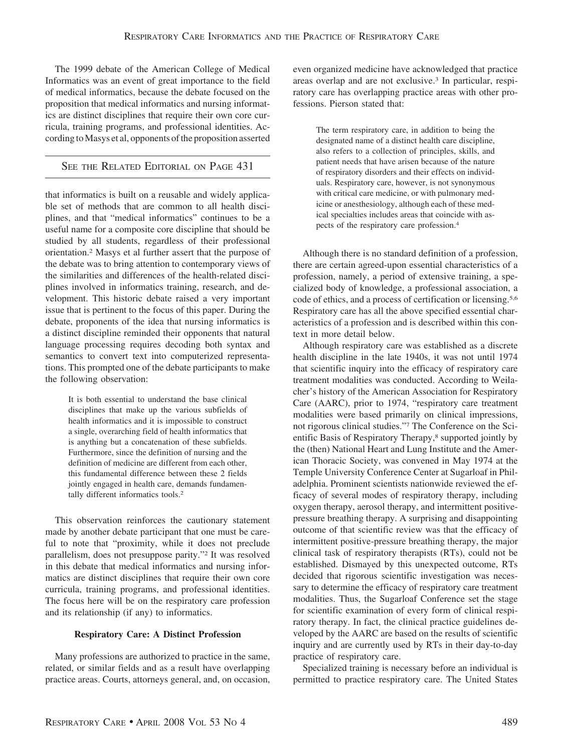The 1999 debate of the American College of Medical Informatics was an event of great importance to the field of medical informatics, because the debate focused on the proposition that medical informatics and nursing informatics are distinct disciplines that require their own core curricula, training programs, and professional identities. According toMasys et al, opponents of the proposition asserted

# SEE THE RELATED EDITORIAL ON PAGE 431

that informatics is built on a reusable and widely applicable set of methods that are common to all health disciplines, and that "medical informatics" continues to be a useful name for a composite core discipline that should be studied by all students, regardless of their professional orientation.2 Masys et al further assert that the purpose of the debate was to bring attention to contemporary views of the similarities and differences of the health-related disciplines involved in informatics training, research, and development. This historic debate raised a very important issue that is pertinent to the focus of this paper. During the debate, proponents of the idea that nursing informatics is a distinct discipline reminded their opponents that natural language processing requires decoding both syntax and semantics to convert text into computerized representations. This prompted one of the debate participants to make the following observation:

It is both essential to understand the base clinical disciplines that make up the various subfields of health informatics and it is impossible to construct a single, overarching field of health informatics that is anything but a concatenation of these subfields. Furthermore, since the definition of nursing and the definition of medicine are different from each other, this fundamental difference between these 2 fields jointly engaged in health care, demands fundamentally different informatics tools.2

This observation reinforces the cautionary statement made by another debate participant that one must be careful to note that "proximity, while it does not preclude parallelism, does not presuppose parity."2 It was resolved in this debate that medical informatics and nursing informatics are distinct disciplines that require their own core curricula, training programs, and professional identities. The focus here will be on the respiratory care profession and its relationship (if any) to informatics.

# **Respiratory Care: A Distinct Profession**

Many professions are authorized to practice in the same, related, or similar fields and as a result have overlapping practice areas. Courts, attorneys general, and, on occasion, even organized medicine have acknowledged that practice areas overlap and are not exclusive.3 In particular, respiratory care has overlapping practice areas with other professions. Pierson stated that:

> The term respiratory care, in addition to being the designated name of a distinct health care discipline, also refers to a collection of principles, skills, and patient needs that have arisen because of the nature of respiratory disorders and their effects on individuals. Respiratory care, however, is not synonymous with critical care medicine, or with pulmonary medicine or anesthesiology, although each of these medical specialties includes areas that coincide with aspects of the respiratory care profession.4

Although there is no standard definition of a profession, there are certain agreed-upon essential characteristics of a profession, namely, a period of extensive training, a specialized body of knowledge, a professional association, a code of ethics, and a process of certification or licensing.5,6 Respiratory care has all the above specified essential characteristics of a profession and is described within this context in more detail below.

Although respiratory care was established as a discrete health discipline in the late 1940s, it was not until 1974 that scientific inquiry into the efficacy of respiratory care treatment modalities was conducted. According to Weilacher's history of the American Association for Respiratory Care (AARC), prior to 1974, "respiratory care treatment modalities were based primarily on clinical impressions, not rigorous clinical studies."7 The Conference on the Scientific Basis of Respiratory Therapy,<sup>8</sup> supported jointly by the (then) National Heart and Lung Institute and the American Thoracic Society, was convened in May 1974 at the Temple University Conference Center at Sugarloaf in Philadelphia. Prominent scientists nationwide reviewed the efficacy of several modes of respiratory therapy, including oxygen therapy, aerosol therapy, and intermittent positivepressure breathing therapy. A surprising and disappointing outcome of that scientific review was that the efficacy of intermittent positive-pressure breathing therapy, the major clinical task of respiratory therapists (RTs), could not be established. Dismayed by this unexpected outcome, RTs decided that rigorous scientific investigation was necessary to determine the efficacy of respiratory care treatment modalities. Thus, the Sugarloaf Conference set the stage for scientific examination of every form of clinical respiratory therapy. In fact, the clinical practice guidelines developed by the AARC are based on the results of scientific inquiry and are currently used by RTs in their day-to-day practice of respiratory care.

Specialized training is necessary before an individual is permitted to practice respiratory care. The United States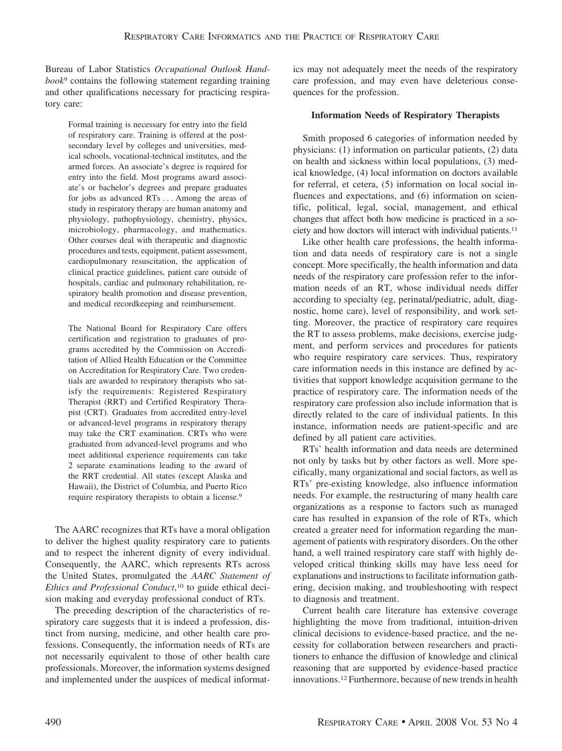Bureau of Labor Statistics *Occupational Outlook Handbook*<sup>9</sup> contains the following statement regarding training and other qualifications necessary for practicing respiratory care:

Formal training is necessary for entry into the field of respiratory care. Training is offered at the postsecondary level by colleges and universities, medical schools, vocational-technical institutes, and the armed forces. An associate's degree is required for entry into the field. Most programs award associate's or bachelor's degrees and prepare graduates for jobs as advanced RTs... Among the areas of study in respiratory therapy are human anatomy and physiology, pathophysiology, chemistry, physics, microbiology, pharmacology, and mathematics. Other courses deal with therapeutic and diagnostic procedures and tests, equipment, patient assessment, cardiopulmonary resuscitation, the application of clinical practice guidelines, patient care outside of hospitals, cardiac and pulmonary rehabilitation, respiratory health promotion and disease prevention, and medical recordkeeping and reimbursement.

The National Board for Respiratory Care offers certification and registration to graduates of programs accredited by the Commission on Accreditation of Allied Health Education or the Committee on Accreditation for Respiratory Care. Two credentials are awarded to respiratory therapists who satisfy the requirements: Registered Respiratory Therapist (RRT) and Certified Respiratory Therapist (CRT). Graduates from accredited entry-level or advanced-level programs in respiratory therapy may take the CRT examination. CRTs who were graduated from advanced-level programs and who meet additional experience requirements can take 2 separate examinations leading to the award of the RRT credential. All states (except Alaska and Hawaii), the District of Columbia, and Puerto Rico require respiratory therapists to obtain a license.9

The AARC recognizes that RTs have a moral obligation to deliver the highest quality respiratory care to patients and to respect the inherent dignity of every individual. Consequently, the AARC, which represents RTs across the United States, promulgated the *AARC Statement of Ethics and Professional Conduct*, <sup>10</sup> to guide ethical decision making and everyday professional conduct of RTs.

The preceding description of the characteristics of respiratory care suggests that it is indeed a profession, distinct from nursing, medicine, and other health care professions. Consequently, the information needs of RTs are not necessarily equivalent to those of other health care professionals. Moreover, the information systems designed and implemented under the auspices of medical informatics may not adequately meet the needs of the respiratory care profession, and may even have deleterious consequences for the profession.

#### **Information Needs of Respiratory Therapists**

Smith proposed 6 categories of information needed by physicians: (1) information on particular patients, (2) data on health and sickness within local populations, (3) medical knowledge, (4) local information on doctors available for referral, et cetera, (5) information on local social influences and expectations, and (6) information on scientific, political, legal, social, management, and ethical changes that affect both how medicine is practiced in a society and how doctors will interact with individual patients.11

Like other health care professions, the health information and data needs of respiratory care is not a single concept. More specifically, the health information and data needs of the respiratory care profession refer to the information needs of an RT, whose individual needs differ according to specialty (eg, perinatal/pediatric, adult, diagnostic, home care), level of responsibility, and work setting. Moreover, the practice of respiratory care requires the RT to assess problems, make decisions, exercise judgment, and perform services and procedures for patients who require respiratory care services. Thus, respiratory care information needs in this instance are defined by activities that support knowledge acquisition germane to the practice of respiratory care. The information needs of the respiratory care profession also include information that is directly related to the care of individual patients. In this instance, information needs are patient-specific and are defined by all patient care activities.

RTs' health information and data needs are determined not only by tasks but by other factors as well. More specifically, many organizational and social factors, as well as RTs' pre-existing knowledge, also influence information needs. For example, the restructuring of many health care organizations as a response to factors such as managed care has resulted in expansion of the role of RTs, which created a greater need for information regarding the management of patients with respiratory disorders. On the other hand, a well trained respiratory care staff with highly developed critical thinking skills may have less need for explanations and instructions to facilitate information gathering, decision making, and troubleshooting with respect to diagnosis and treatment.

Current health care literature has extensive coverage highlighting the move from traditional, intuition-driven clinical decisions to evidence-based practice, and the necessity for collaboration between researchers and practitioners to enhance the diffusion of knowledge and clinical reasoning that are supported by evidence-based practice innovations.12 Furthermore, because of new trends in health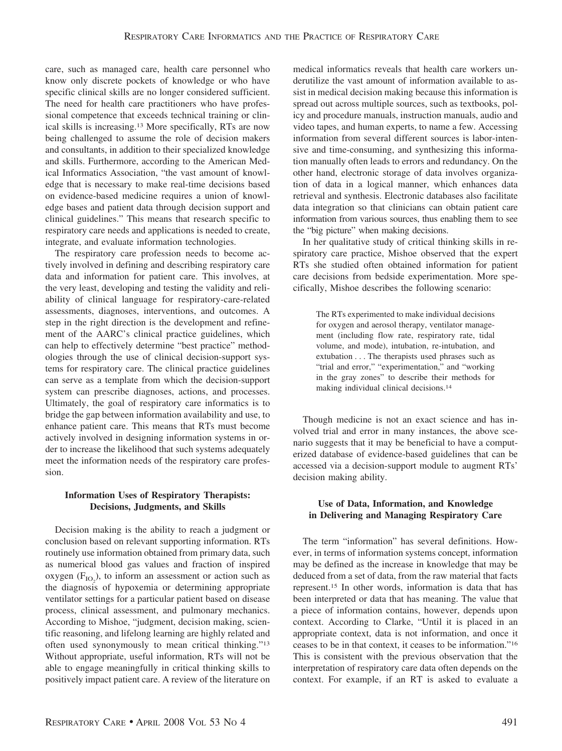care, such as managed care, health care personnel who know only discrete pockets of knowledge or who have specific clinical skills are no longer considered sufficient. The need for health care practitioners who have professional competence that exceeds technical training or clinical skills is increasing.13 More specifically, RTs are now being challenged to assume the role of decision makers and consultants, in addition to their specialized knowledge and skills. Furthermore, according to the American Medical Informatics Association, "the vast amount of knowledge that is necessary to make real-time decisions based on evidence-based medicine requires a union of knowledge bases and patient data through decision support and clinical guidelines." This means that research specific to respiratory care needs and applications is needed to create, integrate, and evaluate information technologies.

The respiratory care profession needs to become actively involved in defining and describing respiratory care data and information for patient care. This involves, at the very least, developing and testing the validity and reliability of clinical language for respiratory-care-related assessments, diagnoses, interventions, and outcomes. A step in the right direction is the development and refinement of the AARC's clinical practice guidelines, which can help to effectively determine "best practice" methodologies through the use of clinical decision-support systems for respiratory care. The clinical practice guidelines can serve as a template from which the decision-support system can prescribe diagnoses, actions, and processes. Ultimately, the goal of respiratory care informatics is to bridge the gap between information availability and use, to enhance patient care. This means that RTs must become actively involved in designing information systems in order to increase the likelihood that such systems adequately meet the information needs of the respiratory care profession.

#### **Information Uses of Respiratory Therapists: Decisions, Judgments, and Skills**

Decision making is the ability to reach a judgment or conclusion based on relevant supporting information. RTs routinely use information obtained from primary data, such as numerical blood gas values and fraction of inspired oxygen  $(F_{IO_2})$ , to inform an assessment or action such as the diagnosis of hypoxemia or determining appropriate ventilator settings for a particular patient based on disease process, clinical assessment, and pulmonary mechanics. According to Mishoe, "judgment, decision making, scientific reasoning, and lifelong learning are highly related and often used synonymously to mean critical thinking."13 Without appropriate, useful information, RTs will not be able to engage meaningfully in critical thinking skills to positively impact patient care. A review of the literature on

medical informatics reveals that health care workers underutilize the vast amount of information available to assist in medical decision making because this information is spread out across multiple sources, such as textbooks, policy and procedure manuals, instruction manuals, audio and video tapes, and human experts, to name a few. Accessing information from several different sources is labor-intensive and time-consuming, and synthesizing this information manually often leads to errors and redundancy. On the other hand, electronic storage of data involves organization of data in a logical manner, which enhances data retrieval and synthesis. Electronic databases also facilitate data integration so that clinicians can obtain patient care information from various sources, thus enabling them to see the "big picture" when making decisions.

In her qualitative study of critical thinking skills in respiratory care practice, Mishoe observed that the expert RTs she studied often obtained information for patient care decisions from bedside experimentation. More specifically, Mishoe describes the following scenario:

> The RTs experimented to make individual decisions for oxygen and aerosol therapy, ventilator management (including flow rate, respiratory rate, tidal volume, and mode), intubation, re-intubation, and extubation . . . The therapists used phrases such as "trial and error," "experimentation," and "working in the gray zones" to describe their methods for making individual clinical decisions.14

Though medicine is not an exact science and has involved trial and error in many instances, the above scenario suggests that it may be beneficial to have a computerized database of evidence-based guidelines that can be accessed via a decision-support module to augment RTs' decision making ability.

# **Use of Data, Information, and Knowledge in Delivering and Managing Respiratory Care**

The term "information" has several definitions. However, in terms of information systems concept, information may be defined as the increase in knowledge that may be deduced from a set of data, from the raw material that facts represent.15 In other words, information is data that has been interpreted or data that has meaning. The value that a piece of information contains, however, depends upon context. According to Clarke, "Until it is placed in an appropriate context, data is not information, and once it ceases to be in that context, it ceases to be information."16 This is consistent with the previous observation that the interpretation of respiratory care data often depends on the context. For example, if an RT is asked to evaluate a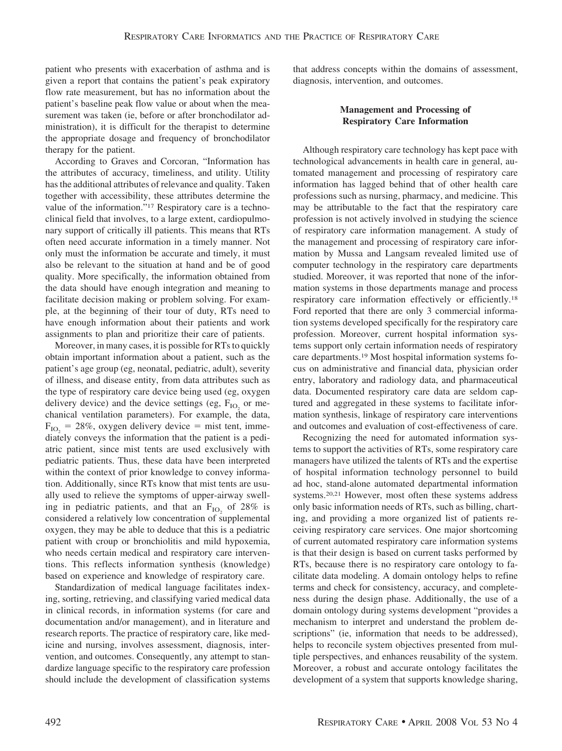patient who presents with exacerbation of asthma and is given a report that contains the patient's peak expiratory flow rate measurement, but has no information about the patient's baseline peak flow value or about when the measurement was taken (ie, before or after bronchodilator administration), it is difficult for the therapist to determine the appropriate dosage and frequency of bronchodilator therapy for the patient.

According to Graves and Corcoran, "Information has the attributes of accuracy, timeliness, and utility. Utility has the additional attributes of relevance and quality. Taken together with accessibility, these attributes determine the value of the information."17 Respiratory care is a technoclinical field that involves, to a large extent, cardiopulmonary support of critically ill patients. This means that RTs often need accurate information in a timely manner. Not only must the information be accurate and timely, it must also be relevant to the situation at hand and be of good quality. More specifically, the information obtained from the data should have enough integration and meaning to facilitate decision making or problem solving. For example, at the beginning of their tour of duty, RTs need to have enough information about their patients and work assignments to plan and prioritize their care of patients.

Moreover, in many cases, it is possible for RTs to quickly obtain important information about a patient, such as the patient's age group (eg, neonatal, pediatric, adult), severity of illness, and disease entity, from data attributes such as the type of respiratory care device being used (eg, oxygen delivery device) and the device settings (eg,  $F_{IO}$  or mechanical ventilation parameters). For example, the data,  $F_{IO_2} = 28\%$ , oxygen delivery device = mist tent, immediately conveys the information that the patient is a pediatric patient, since mist tents are used exclusively with pediatric patients. Thus, these data have been interpreted within the context of prior knowledge to convey information. Additionally, since RTs know that mist tents are usually used to relieve the symptoms of upper-airway swelling in pediatric patients, and that an  $F_{IO}$  of 28% is considered a relatively low concentration of supplemental oxygen, they may be able to deduce that this is a pediatric patient with croup or bronchiolitis and mild hypoxemia, who needs certain medical and respiratory care interventions. This reflects information synthesis (knowledge) based on experience and knowledge of respiratory care.

Standardization of medical language facilitates indexing, sorting, retrieving, and classifying varied medical data in clinical records, in information systems (for care and documentation and/or management), and in literature and research reports. The practice of respiratory care, like medicine and nursing, involves assessment, diagnosis, intervention, and outcomes. Consequently, any attempt to standardize language specific to the respiratory care profession should include the development of classification systems

that address concepts within the domains of assessment, diagnosis, intervention, and outcomes.

# **Management and Processing of Respiratory Care Information**

Although respiratory care technology has kept pace with technological advancements in health care in general, automated management and processing of respiratory care information has lagged behind that of other health care professions such as nursing, pharmacy, and medicine. This may be attributable to the fact that the respiratory care profession is not actively involved in studying the science of respiratory care information management. A study of the management and processing of respiratory care information by Mussa and Langsam revealed limited use of computer technology in the respiratory care departments studied. Moreover, it was reported that none of the information systems in those departments manage and process respiratory care information effectively or efficiently.18 Ford reported that there are only 3 commercial information systems developed specifically for the respiratory care profession. Moreover, current hospital information systems support only certain information needs of respiratory care departments.19 Most hospital information systems focus on administrative and financial data, physician order entry, laboratory and radiology data, and pharmaceutical data. Documented respiratory care data are seldom captured and aggregated in these systems to facilitate information synthesis, linkage of respiratory care interventions and outcomes and evaluation of cost-effectiveness of care.

Recognizing the need for automated information systems to support the activities of RTs, some respiratory care managers have utilized the talents of RTs and the expertise of hospital information technology personnel to build ad hoc, stand-alone automated departmental information systems.20,21 However, most often these systems address only basic information needs of RTs, such as billing, charting, and providing a more organized list of patients receiving respiratory care services. One major shortcoming of current automated respiratory care information systems is that their design is based on current tasks performed by RTs, because there is no respiratory care ontology to facilitate data modeling. A domain ontology helps to refine terms and check for consistency, accuracy, and completeness during the design phase. Additionally, the use of a domain ontology during systems development "provides a mechanism to interpret and understand the problem descriptions" (ie, information that needs to be addressed), helps to reconcile system objectives presented from multiple perspectives, and enhances reusability of the system. Moreover, a robust and accurate ontology facilitates the development of a system that supports knowledge sharing,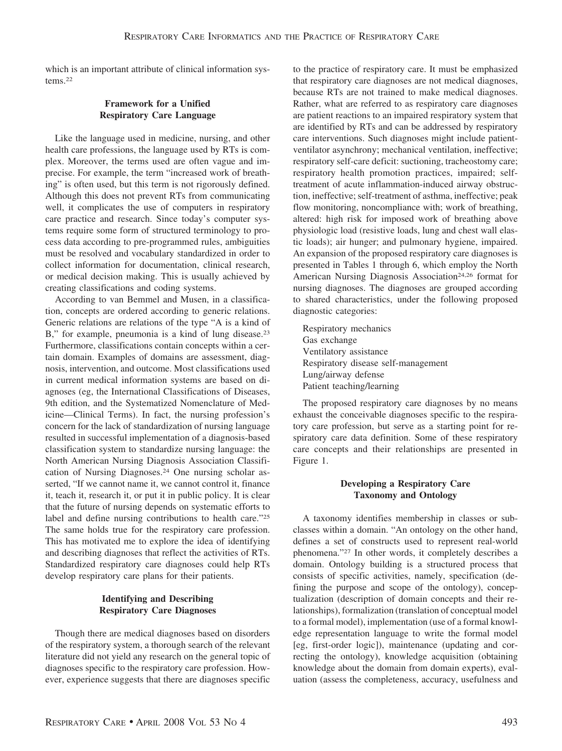which is an important attribute of clinical information systems.22

## **Framework for a Unified Respiratory Care Language**

Like the language used in medicine, nursing, and other health care professions, the language used by RTs is complex. Moreover, the terms used are often vague and imprecise. For example, the term "increased work of breathing" is often used, but this term is not rigorously defined. Although this does not prevent RTs from communicating well, it complicates the use of computers in respiratory care practice and research. Since today's computer systems require some form of structured terminology to process data according to pre-programmed rules, ambiguities must be resolved and vocabulary standardized in order to collect information for documentation, clinical research, or medical decision making. This is usually achieved by creating classifications and coding systems.

According to van Bemmel and Musen, in a classification, concepts are ordered according to generic relations. Generic relations are relations of the type "A is a kind of B," for example, pneumonia is a kind of lung disease.<sup>23</sup> Furthermore, classifications contain concepts within a certain domain. Examples of domains are assessment, diagnosis, intervention, and outcome. Most classifications used in current medical information systems are based on diagnoses (eg, the International Classifications of Diseases, 9th edition, and the Systematized Nomenclature of Medicine—Clinical Terms). In fact, the nursing profession's concern for the lack of standardization of nursing language resulted in successful implementation of a diagnosis-based classification system to standardize nursing language: the North American Nursing Diagnosis Association Classification of Nursing Diagnoses.24 One nursing scholar asserted, "If we cannot name it, we cannot control it, finance it, teach it, research it, or put it in public policy. It is clear that the future of nursing depends on systematic efforts to label and define nursing contributions to health care."25 The same holds true for the respiratory care profession. This has motivated me to explore the idea of identifying and describing diagnoses that reflect the activities of RTs. Standardized respiratory care diagnoses could help RTs develop respiratory care plans for their patients.

# **Identifying and Describing Respiratory Care Diagnoses**

Though there are medical diagnoses based on disorders of the respiratory system, a thorough search of the relevant literature did not yield any research on the general topic of diagnoses specific to the respiratory care profession. However, experience suggests that there are diagnoses specific

to the practice of respiratory care. It must be emphasized that respiratory care diagnoses are not medical diagnoses, because RTs are not trained to make medical diagnoses. Rather, what are referred to as respiratory care diagnoses are patient reactions to an impaired respiratory system that are identified by RTs and can be addressed by respiratory care interventions. Such diagnoses might include patientventilator asynchrony; mechanical ventilation, ineffective; respiratory self-care deficit: suctioning, tracheostomy care; respiratory health promotion practices, impaired; selftreatment of acute inflammation-induced airway obstruction, ineffective; self-treatment of asthma, ineffective; peak flow monitoring, noncompliance with; work of breathing, altered: high risk for imposed work of breathing above physiologic load (resistive loads, lung and chest wall elastic loads); air hunger; and pulmonary hygiene, impaired. An expansion of the proposed respiratory care diagnoses is presented in Tables 1 through 6, which employ the North American Nursing Diagnosis Association<sup>24,26</sup> format for nursing diagnoses. The diagnoses are grouped according to shared characteristics, under the following proposed diagnostic categories:

Respiratory mechanics Gas exchange Ventilatory assistance Respiratory disease self-management Lung/airway defense Patient teaching/learning

The proposed respiratory care diagnoses by no means exhaust the conceivable diagnoses specific to the respiratory care profession, but serve as a starting point for respiratory care data definition. Some of these respiratory care concepts and their relationships are presented in Figure 1.

### **Developing a Respiratory Care Taxonomy and Ontology**

A taxonomy identifies membership in classes or subclasses within a domain. "An ontology on the other hand, defines a set of constructs used to represent real-world phenomena."27 In other words, it completely describes a domain. Ontology building is a structured process that consists of specific activities, namely, specification (defining the purpose and scope of the ontology), conceptualization (description of domain concepts and their relationships), formalization (translation of conceptual model to a formal model), implementation (use of a formal knowledge representation language to write the formal model [eg, first-order logic]), maintenance (updating and correcting the ontology), knowledge acquisition (obtaining knowledge about the domain from domain experts), evaluation (assess the completeness, accuracy, usefulness and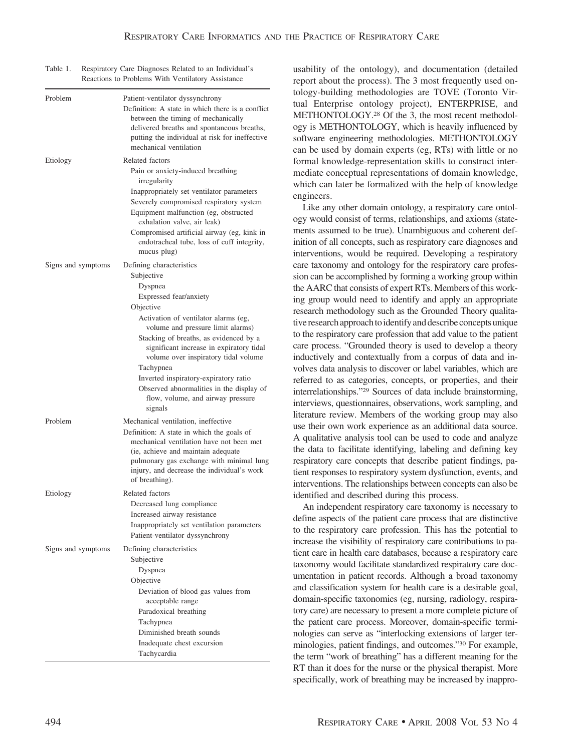| Table 1. | Respiratory Care Diagnoses Related to an Individual's |
|----------|-------------------------------------------------------|
|          | Reactions to Problems With Ventilatory Assistance     |

| Problem            | Patient-ventilator dyssynchrony<br>Definition: A state in which there is a conflict<br>between the timing of mechanically<br>delivered breaths and spontaneous breaths,<br>putting the individual at risk for ineffective<br>mechanical ventilation                     |
|--------------------|-------------------------------------------------------------------------------------------------------------------------------------------------------------------------------------------------------------------------------------------------------------------------|
| Etiology           | Related factors<br>Pain or anxiety-induced breathing<br>irregularity                                                                                                                                                                                                    |
|                    | Inappropriately set ventilator parameters<br>Severely compromised respiratory system<br>Equipment malfunction (eg, obstructed<br>exhalation valve, air leak)<br>Compromised artificial airway (eg, kink in<br>endotracheal tube, loss of cuff integrity,<br>mucus plug) |
| Signs and symptoms | Defining characteristics                                                                                                                                                                                                                                                |
|                    | Subjective                                                                                                                                                                                                                                                              |
|                    | Dyspnea                                                                                                                                                                                                                                                                 |
|                    | Expressed fear/anxiety                                                                                                                                                                                                                                                  |
|                    | Objective                                                                                                                                                                                                                                                               |
|                    | Activation of ventilator alarms (eg,                                                                                                                                                                                                                                    |
|                    | volume and pressure limit alarms)                                                                                                                                                                                                                                       |
|                    | Stacking of breaths, as evidenced by a<br>significant increase in expiratory tidal<br>volume over inspiratory tidal volume                                                                                                                                              |
|                    | Tachypnea<br>Inverted inspiratory-expiratory ratio<br>Observed abnormalities in the display of<br>flow, volume, and airway pressure<br>signals                                                                                                                          |
| Problem            | Mechanical ventilation, ineffective<br>Definition: A state in which the goals of                                                                                                                                                                                        |
|                    | mechanical ventilation have not been met<br>(ie, achieve and maintain adequate<br>pulmonary gas exchange with minimal lung<br>injury, and decrease the individual's work<br>of breathing).                                                                              |
| Etiology           | Related factors                                                                                                                                                                                                                                                         |
|                    | Decreased lung compliance                                                                                                                                                                                                                                               |
|                    | Increased airway resistance                                                                                                                                                                                                                                             |
|                    | Inappropriately set ventilation parameters<br>Patient-ventilator dyssynchrony                                                                                                                                                                                           |
| Signs and symptoms | Defining characteristics<br>Subjective<br>Dyspnea<br>Objective<br>Deviation of blood gas values from<br>acceptable range<br>Paradoxical breathing<br>Tachypnea<br>Diminished breath sounds                                                                              |
|                    | Inadequate chest excursion                                                                                                                                                                                                                                              |
|                    | Tachycardia                                                                                                                                                                                                                                                             |

usability of the ontology), and documentation (detailed report about the process). The 3 most frequently used ontology-building methodologies are TOVE (Toronto Virtual Enterprise ontology project), ENTERPRISE, and METHONTOLOGY.28 Of the 3, the most recent methodology is METHONTOLOGY, which is heavily influenced by software engineering methodologies. METHONTOLOGY can be used by domain experts (eg, RTs) with little or no formal knowledge-representation skills to construct intermediate conceptual representations of domain knowledge, which can later be formalized with the help of knowledge engineers.

Like any other domain ontology, a respiratory care ontology would consist of terms, relationships, and axioms (statements assumed to be true). Unambiguous and coherent definition of all concepts, such as respiratory care diagnoses and interventions, would be required. Developing a respiratory care taxonomy and ontology for the respiratory care profession can be accomplished by forming a working group within the AARC that consists of expert RTs. Members of this working group would need to identify and apply an appropriate research methodology such as the Grounded Theory qualitative research approach to identify and describe concepts unique to the respiratory care profession that add value to the patient care process. "Grounded theory is used to develop a theory inductively and contextually from a corpus of data and involves data analysis to discover or label variables, which are referred to as categories, concepts, or properties, and their interrelationships."29 Sources of data include brainstorming, interviews, questionnaires, observations, work sampling, and literature review. Members of the working group may also use their own work experience as an additional data source. A qualitative analysis tool can be used to code and analyze the data to facilitate identifying, labeling and defining key respiratory care concepts that describe patient findings, patient responses to respiratory system dysfunction, events, and interventions. The relationships between concepts can also be identified and described during this process.

An independent respiratory care taxonomy is necessary to define aspects of the patient care process that are distinctive to the respiratory care profession. This has the potential to increase the visibility of respiratory care contributions to patient care in health care databases, because a respiratory care taxonomy would facilitate standardized respiratory care documentation in patient records. Although a broad taxonomy and classification system for health care is a desirable goal, domain-specific taxonomies (eg, nursing, radiology, respiratory care) are necessary to present a more complete picture of the patient care process. Moreover, domain-specific terminologies can serve as "interlocking extensions of larger terminologies, patient findings, and outcomes."30 For example, the term "work of breathing" has a different meaning for the RT than it does for the nurse or the physical therapist. More specifically, work of breathing may be increased by inappro-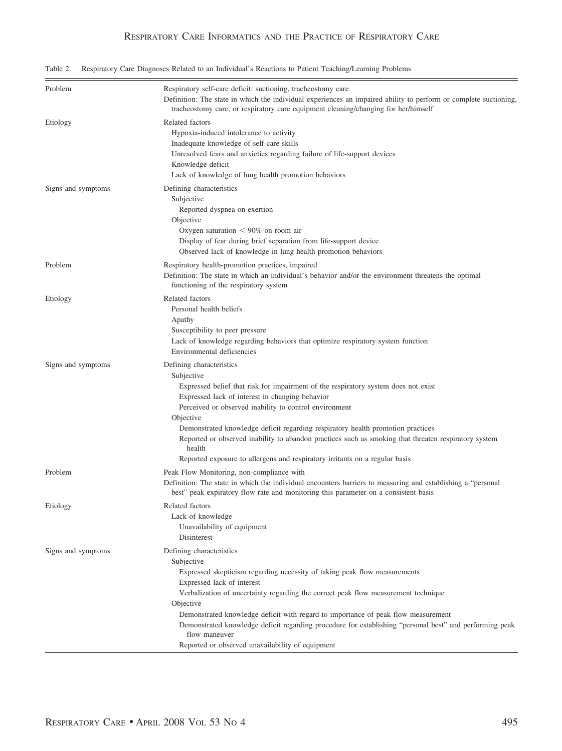|  | Table 2. Respiratory Care Diagnoses Related to an Individual's Reactions to Patient Teaching/Learning Problems |  |  |  |  |
|--|----------------------------------------------------------------------------------------------------------------|--|--|--|--|
|  |                                                                                                                |  |  |  |  |

| Problem            | Respiratory self-care deficit: suctioning, tracheostomy care<br>Definition: The state in which the individual experiences an impaired ability to perform or complete suctioning,<br>tracheostomy care, or respiratory care equipment cleaning/changing for her/himself                                                                                                                                                                                                                                                                     |
|--------------------|--------------------------------------------------------------------------------------------------------------------------------------------------------------------------------------------------------------------------------------------------------------------------------------------------------------------------------------------------------------------------------------------------------------------------------------------------------------------------------------------------------------------------------------------|
| Etiology           | Related factors<br>Hypoxia-induced intolerance to activity<br>Inadequate knowledge of self-care skills<br>Unresolved fears and anxieties regarding failure of life-support devices<br>Knowledge deficit<br>Lack of knowledge of lung health promotion behaviors                                                                                                                                                                                                                                                                            |
| Signs and symptoms | Defining characteristics<br>Subjective<br>Reported dyspnea on exertion<br>Objective<br>Oxygen saturation $< 90\%$ on room air<br>Display of fear during brief separation from life-support device<br>Observed lack of knowledge in lung health promotion behaviors                                                                                                                                                                                                                                                                         |
| Problem            | Respiratory health-promotion practices, impaired<br>Definition: The state in which an individual's behavior and/or the environment threatens the optimal<br>functioning of the respiratory system                                                                                                                                                                                                                                                                                                                                          |
| Etiology           | Related factors<br>Personal health beliefs<br>Apathy<br>Susceptibility to peer pressure<br>Lack of knowledge regarding behaviors that optimize respiratory system function<br>Environmental deficiencies                                                                                                                                                                                                                                                                                                                                   |
| Signs and symptoms | Defining characteristics<br>Subjective<br>Expressed belief that risk for impairment of the respiratory system does not exist<br>Expressed lack of interest in changing behavior<br>Perceived or observed inability to control environment<br>Objective<br>Demonstrated knowledge deficit regarding respiratory health promotion practices<br>Reported or observed inability to abandon practices such as smoking that threaten respiratory system<br>health<br>Reported exposure to allergens and respiratory irritants on a regular basis |
| Problem            | Peak Flow Monitoring, non-compliance with<br>Definition: The state in which the individual encounters barriers to measuring and establishing a "personal"<br>best" peak expiratory flow rate and monitoring this parameter on a consistent basis                                                                                                                                                                                                                                                                                           |
| Etiology           | Related factors<br>Lack of knowledge<br>Unavailability of equipment<br>Disinterest                                                                                                                                                                                                                                                                                                                                                                                                                                                         |
| Signs and symptoms | Defining characteristics<br>Subjective<br>Expressed skepticism regarding necessity of taking peak flow measurements<br>Expressed lack of interest<br>Verbalization of uncertainty regarding the correct peak flow measurement technique<br>Objective<br>Demonstrated knowledge deficit with regard to importance of peak flow measurement<br>Demonstrated knowledge deficit regarding procedure for establishing "personal best" and performing peak<br>flow maneuver<br>Reported or observed unavailability of equipment                  |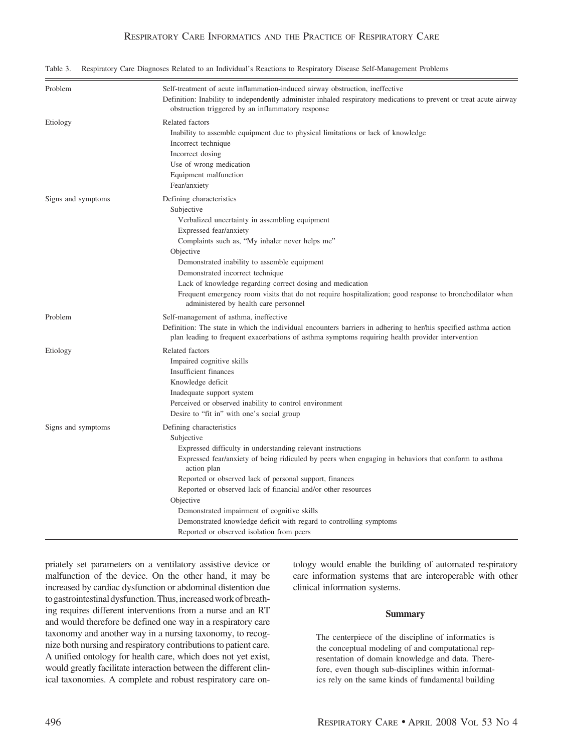| Problem            | Self-treatment of acute inflammation-induced airway obstruction, ineffective<br>Definition: Inability to independently administer inhaled respiratory medications to prevent or treat acute airway<br>obstruction triggered by an inflammatory response                                                                                                                                                                                                                                                                                 |
|--------------------|-----------------------------------------------------------------------------------------------------------------------------------------------------------------------------------------------------------------------------------------------------------------------------------------------------------------------------------------------------------------------------------------------------------------------------------------------------------------------------------------------------------------------------------------|
| Etiology           | Related factors<br>Inability to assemble equipment due to physical limitations or lack of knowledge<br>Incorrect technique<br>Incorrect dosing<br>Use of wrong medication<br>Equipment malfunction<br>Fear/anxiety                                                                                                                                                                                                                                                                                                                      |
| Signs and symptoms | Defining characteristics<br>Subjective<br>Verbalized uncertainty in assembling equipment<br>Expressed fear/anxiety<br>Complaints such as, "My inhaler never helps me"<br>Objective<br>Demonstrated inability to assemble equipment<br>Demonstrated incorrect technique<br>Lack of knowledge regarding correct dosing and medication<br>Frequent emergency room visits that do not require hospitalization; good response to bronchodilator when<br>administered by health care personnel                                                |
| Problem            | Self-management of asthma, ineffective<br>Definition: The state in which the individual encounters barriers in adhering to her/his specified asthma action<br>plan leading to frequent exacerbations of asthma symptoms requiring health provider intervention                                                                                                                                                                                                                                                                          |
| Etiology           | Related factors<br>Impaired cognitive skills<br>Insufficient finances<br>Knowledge deficit<br>Inadequate support system<br>Perceived or observed inability to control environment<br>Desire to "fit in" with one's social group                                                                                                                                                                                                                                                                                                         |
| Signs and symptoms | Defining characteristics<br>Subjective<br>Expressed difficulty in understanding relevant instructions<br>Expressed fear/anxiety of being ridiculed by peers when engaging in behaviors that conform to asthma<br>action plan<br>Reported or observed lack of personal support, finances<br>Reported or observed lack of financial and/or other resources<br>Objective<br>Demonstrated impairment of cognitive skills<br>Demonstrated knowledge deficit with regard to controlling symptoms<br>Reported or observed isolation from peers |

Table 3. Respiratory Care Diagnoses Related to an Individual's Reactions to Respiratory Disease Self-Management Problems

priately set parameters on a ventilatory assistive device or malfunction of the device. On the other hand, it may be increased by cardiac dysfunction or abdominal distention due to gastrointestinal dysfunction. Thus, increased work of breathing requires different interventions from a nurse and an RT and would therefore be defined one way in a respiratory care taxonomy and another way in a nursing taxonomy, to recognize both nursing and respiratory contributions to patient care. A unified ontology for health care, which does not yet exist, would greatly facilitate interaction between the different clinical taxonomies. A complete and robust respiratory care ontology would enable the building of automated respiratory care information systems that are interoperable with other clinical information systems.

#### **Summary**

The centerpiece of the discipline of informatics is the conceptual modeling of and computational representation of domain knowledge and data. Therefore, even though sub-disciplines within informatics rely on the same kinds of fundamental building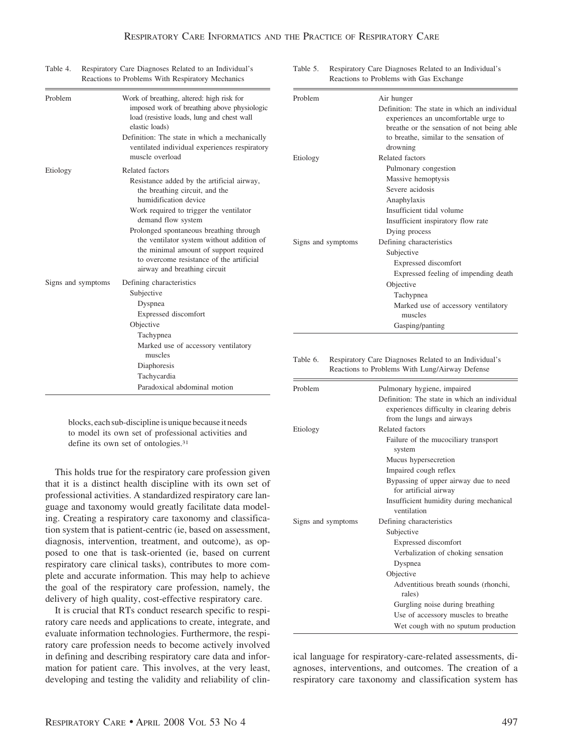| Reactions to Problems With Respiratory Mechanics | Reacti                                                                                                                                                                                                                                                                                                                                                                                                  |                              |
|--------------------------------------------------|---------------------------------------------------------------------------------------------------------------------------------------------------------------------------------------------------------------------------------------------------------------------------------------------------------------------------------------------------------------------------------------------------------|------------------------------|
| Problem                                          | Work of breathing, altered: high risk for<br>imposed work of breathing above physiologic<br>load (resistive loads, lung and chest wall<br>elastic loads)<br>Definition: The state in which a mechanically<br>ventilated individual experiences respiratory<br>muscle overload                                                                                                                           | Problem                      |
|                                                  |                                                                                                                                                                                                                                                                                                                                                                                                         | Etiology                     |
| Etiology                                         | Related factors<br>Resistance added by the artificial airway,<br>the breathing circuit, and the<br>humidification device<br>Work required to trigger the ventilator<br>demand flow system<br>Prolonged spontaneous breathing through<br>the ventilator system without addition of<br>the minimal amount of support required<br>to overcome resistance of the artificial<br>airway and breathing circuit | Signs and sympto             |
| Signs and symptoms                               | Defining characteristics<br>Subjective<br>Dyspnea<br>Expressed discomfort<br>Objective                                                                                                                                                                                                                                                                                                                  |                              |
|                                                  | Tachypnea<br>Marked use of accessory ventilatory<br>muscles<br>Diaphoresis<br>Tachycardia                                                                                                                                                                                                                                                                                                               | Table 6.<br>Respir<br>Reacti |
|                                                  | Paradoxical abdominal motion                                                                                                                                                                                                                                                                                                                                                                            | Problem                      |

Table 4. Respiratory Care Diagnoses Related to an Individual's Table 5. Respiratory Care Diagnoses Related to an Individual's ions to Problems with Gas Exchange

| Problem            | Air hunger                                                                                                                                                                                |
|--------------------|-------------------------------------------------------------------------------------------------------------------------------------------------------------------------------------------|
|                    | Definition: The state in which an individual<br>experiences an uncomfortable urge to<br>breathe or the sensation of not being able<br>to breathe, similar to the sensation of<br>drowning |
| Etiology           | Related factors                                                                                                                                                                           |
|                    | Pulmonary congestion                                                                                                                                                                      |
|                    | Massive hemoptysis                                                                                                                                                                        |
|                    | Severe acidosis                                                                                                                                                                           |
|                    | Anaphylaxis                                                                                                                                                                               |
|                    | Insufficient tidal volume                                                                                                                                                                 |
|                    | Insufficient inspiratory flow rate                                                                                                                                                        |
|                    | Dying process                                                                                                                                                                             |
| Signs and symptoms | Defining characteristics                                                                                                                                                                  |
|                    | Subjective                                                                                                                                                                                |
|                    | Expressed discomfort                                                                                                                                                                      |
|                    | Expressed feeling of impending death                                                                                                                                                      |
|                    | Objective                                                                                                                                                                                 |
|                    | Tachypnea                                                                                                                                                                                 |
|                    | Marked use of accessory ventilatory                                                                                                                                                       |
|                    | muscles                                                                                                                                                                                   |
|                    | Gasping/panting                                                                                                                                                                           |

ratory Care Diagnoses Related to an Individual's ions to Problems With Lung/Airway Defense

blocks, each sub-discipline is unique because it needs to model its own set of professional activities and define its own set of ontologies.<sup>31</sup>

This holds true for the respiratory care profession given that it is a distinct health discipline with its own set of professional activities. A standardized respiratory care language and taxonomy would greatly facilitate data modeling. Creating a respiratory care taxonomy and classification system that is patient-centric (ie, based on assessment, diagnosis, intervention, treatment, and outcome), as opposed to one that is task-oriented (ie, based on current respiratory care clinical tasks), contributes to more complete and accurate information. This may help to achieve the goal of the respiratory care profession, namely, the delivery of high quality, cost-effective respiratory care.

It is crucial that RTs conduct research specific to respiratory care needs and applications to create, integrate, and evaluate information technologies. Furthermore, the respiratory care profession needs to become actively involved in defining and describing respiratory care data and information for patient care. This involves, at the very least, developing and testing the validity and reliability of clin-

| Problem            | Pulmonary hygiene, impaired<br>Definition: The state in which an individual |
|--------------------|-----------------------------------------------------------------------------|
|                    | experiences difficulty in clearing debris                                   |
|                    | from the lungs and airways                                                  |
| Etiology           | Related factors                                                             |
|                    | Failure of the mucociliary transport<br>system                              |
|                    | Mucus hypersecretion                                                        |
|                    | Impaired cough reflex                                                       |
|                    | Bypassing of upper airway due to need                                       |
|                    | for artificial airway                                                       |
|                    | Insufficient humidity during mechanical                                     |
|                    | ventilation                                                                 |
| Signs and symptoms | Defining characteristics                                                    |
|                    | Subjective                                                                  |
|                    | Expressed discomfort                                                        |
|                    | Verbalization of choking sensation                                          |
|                    | Dyspnea                                                                     |
|                    | Objective                                                                   |
|                    | Adventitious breath sounds (rhonchi,                                        |
|                    | rales)                                                                      |
|                    | Gurgling noise during breathing                                             |
|                    | Use of accessory muscles to breathe                                         |
|                    | Wet cough with no sputum production                                         |

ical language for respiratory-care-related assessments, diagnoses, interventions, and outcomes. The creation of a respiratory care taxonomy and classification system has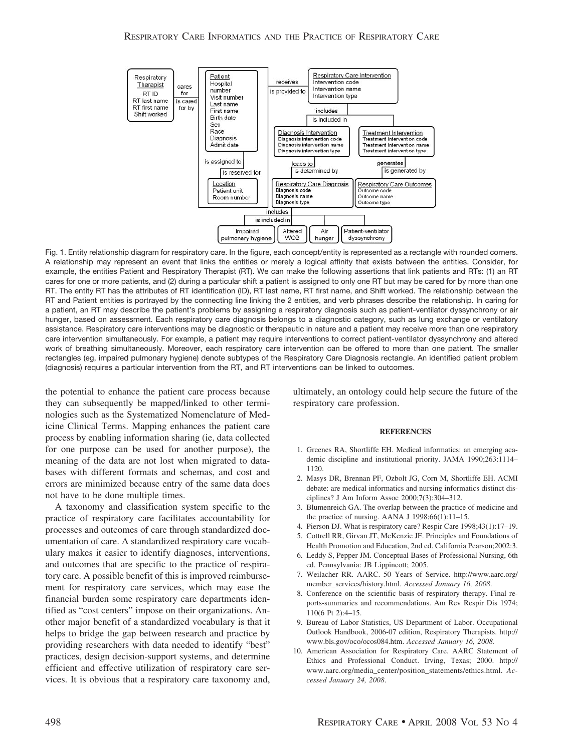

Fig. 1. Entity relationship diagram for respiratory care. In the figure, each concept/entity is represented as a rectangle with rounded corners. A relationship may represent an event that links the entities or merely a logical affinity that exists between the entities. Consider, for example, the entities Patient and Respiratory Therapist (RT). We can make the following assertions that link patients and RTs: (1) an RT cares for one or more patients, and (2) during a particular shift a patient is assigned to only one RT but may be cared for by more than one RT. The entity RT has the attributes of RT identification (ID), RT last name, RT first name, and Shift worked. The relationship between the RT and Patient entities is portrayed by the connecting line linking the 2 entities, and verb phrases describe the relationship. In caring for a patient, an RT may describe the patient's problems by assigning a respiratory diagnosis such as patient-ventilator dyssynchrony or air hunger, based on assessment. Each respiratory care diagnosis belongs to a diagnostic category, such as lung exchange or ventilatory assistance. Respiratory care interventions may be diagnostic or therapeutic in nature and a patient may receive more than one respiratory care intervention simultaneously. For example, a patient may require interventions to correct patient-ventilator dyssynchrony and altered work of breathing simultaneously. Moreover, each respiratory care intervention can be offered to more than one patient. The smaller rectangles (eg, impaired pulmonary hygiene) denote subtypes of the Respiratory Care Diagnosis rectangle. An identified patient problem (diagnosis) requires a particular intervention from the RT, and RT interventions can be linked to outcomes.

the potential to enhance the patient care process because they can subsequently be mapped/linked to other terminologies such as the Systematized Nomenclature of Medicine Clinical Terms. Mapping enhances the patient care process by enabling information sharing (ie, data collected for one purpose can be used for another purpose), the meaning of the data are not lost when migrated to databases with different formats and schemas, and cost and errors are minimized because entry of the same data does not have to be done multiple times.

A taxonomy and classification system specific to the practice of respiratory care facilitates accountability for processes and outcomes of care through standardized documentation of care. A standardized respiratory care vocabulary makes it easier to identify diagnoses, interventions, and outcomes that are specific to the practice of respiratory care. A possible benefit of this is improved reimbursement for respiratory care services, which may ease the financial burden some respiratory care departments identified as "cost centers" impose on their organizations. Another major benefit of a standardized vocabulary is that it helps to bridge the gap between research and practice by providing researchers with data needed to identify "best" practices, design decision-support systems, and determine efficient and effective utilization of respiratory care services. It is obvious that a respiratory care taxonomy and, ultimately, an ontology could help secure the future of the respiratory care profession.

#### **REFERENCES**

- 1. Greenes RA, Shortliffe EH. Medical informatics: an emerging academic discipline and institutional priority. JAMA 1990;263:1114– 1120.
- 2. Masys DR, Brennan PF, Ozbolt JG, Corn M, Shortliffe EH. ACMI debate: are medical informatics and nursing informatics distinct disciplines? J Am Inform Assoc 2000;7(3):304–312.
- 3. Blumenreich GA. The overlap between the practice of medicine and the practice of nursing. AANA J 1998;66(1):11–15.
- 4. Pierson DJ. What is respiratory care? Respir Care 1998;43(1):17–19.
- 5. Cottrell RR, Girvan JT, McKenzie JF. Principles and Foundations of Health Promotion and Education, 2nd ed. California Pearson;2002:3.
- 6. Leddy S, Pepper JM. Conceptual Bases of Professional Nursing, 6th ed. Pennsylvania: JB Lippincott; 2005.
- 7. Weilacher RR. AARC. 50 Years of Service. http://www.aarc.org/ member\_services/history.html. *Accessed January 16, 2008*.
- 8. Conference on the scientific basis of respiratory therapy. Final reports-summaries and recommendations. Am Rev Respir Dis 1974; 110(6 Pt 2):4–15.
- 9. Bureau of Labor Statistics, US Department of Labor. Occupational Outlook Handbook, 2006-07 edition, Respiratory Therapists. http:// www.bls.gov/oco/ocos084.htm. *Accessed January 16, 2008.*
- 10. American Association for Respiratory Care. AARC Statement of Ethics and Professional Conduct. Irving, Texas; 2000. http:// www.aarc.org/media\_center/position\_statements/ethics.html. *Accessed January 24, 2008*.